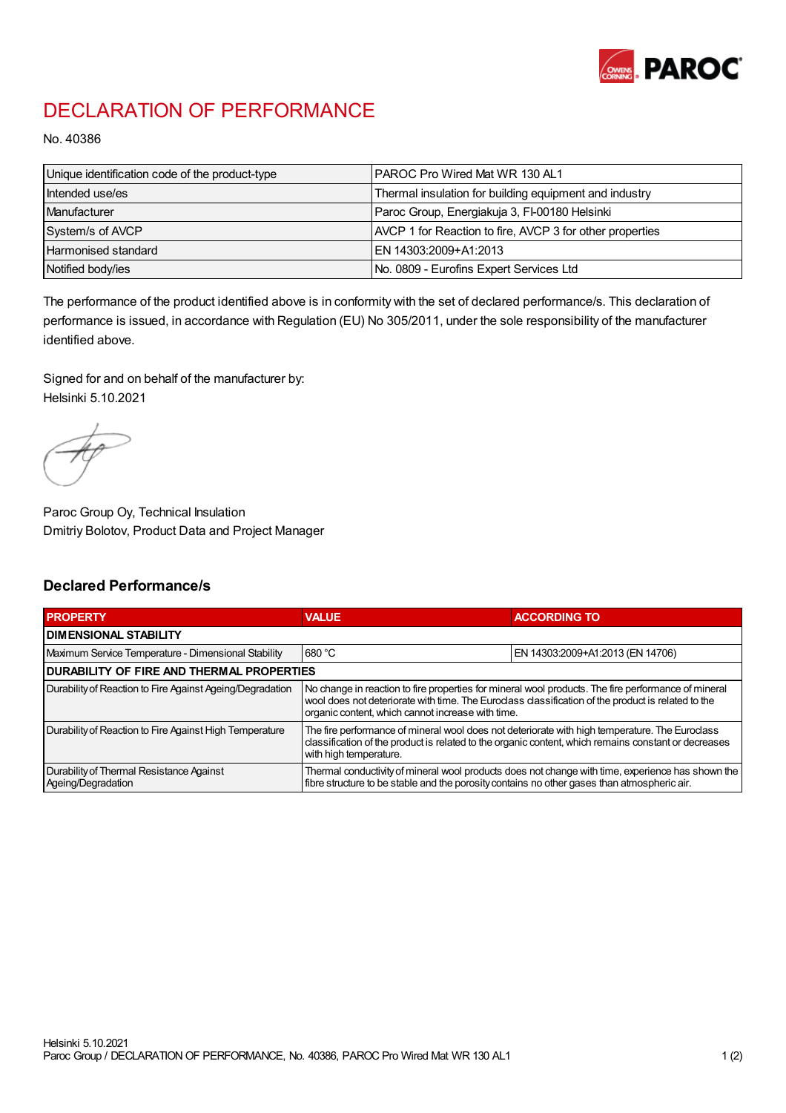

## DECLARATION OF PERFORMANCE

No. 40386

| Unique identification code of the product-type | <b>IPAROC Pro Wired Mat WR 130 AL1</b>                   |
|------------------------------------------------|----------------------------------------------------------|
| Intended use/es                                | Thermal insulation for building equipment and industry   |
| Manufacturer                                   | Paroc Group, Energiakuja 3, FI-00180 Helsinki            |
| System/s of AVCP                               | AVCP 1 for Reaction to fire, AVCP 3 for other properties |
| Harmonised standard                            | IEN 14303:2009+A1:2013                                   |
| Notified body/ies                              | No. 0809 - Eurofins Expert Services Ltd                  |

The performance of the product identified above is in conformity with the set of declared performance/s. This declaration of performance is issued, in accordance with Regulation (EU) No 305/2011, under the sole responsibility of the manufacturer identified above.

Signed for and on behalf of the manufacturer by: Helsinki 5.10.2021

Paroc Group Oy, Technical Insulation Dmitriy Bolotov, Product Data and Project Manager

## Declared Performance/s

| <b>PROPERTY</b>                                                | <b>VALUE</b>                                                                                                                                                                                                                                                   | <b>ACCORDING TO.</b>             |  |
|----------------------------------------------------------------|----------------------------------------------------------------------------------------------------------------------------------------------------------------------------------------------------------------------------------------------------------------|----------------------------------|--|
| <b>DIMENSIONAL STABILITY</b>                                   |                                                                                                                                                                                                                                                                |                                  |  |
| Maximum Service Temperature - Dimensional Stability            | 680 °C                                                                                                                                                                                                                                                         | EN 14303:2009+A1:2013 (EN 14706) |  |
| <b>DURABILITY OF FIRE AND THERMAL PROPERTIES</b>               |                                                                                                                                                                                                                                                                |                                  |  |
| Durability of Reaction to Fire Against Ageing/Degradation      | No change in reaction to fire properties for mineral wool products. The fire performance of mineral<br>wool does not deteriorate with time. The Euroclass classification of the product is related to the<br>organic content, which cannot increase with time. |                                  |  |
| Durability of Reaction to Fire Against High Temperature        | The fire performance of mineral wool does not deteriorate with high temperature. The Euroclass<br>classification of the product is related to the organic content, which remains constant or decreases<br>with high temperature.                               |                                  |  |
| Durability of Thermal Resistance Against<br>Ageing/Degradation | Thermal conductivity of mineral wool products does not change with time, experience has shown the<br>fibre structure to be stable and the porosity contains no other gases than atmospheric air.                                                               |                                  |  |